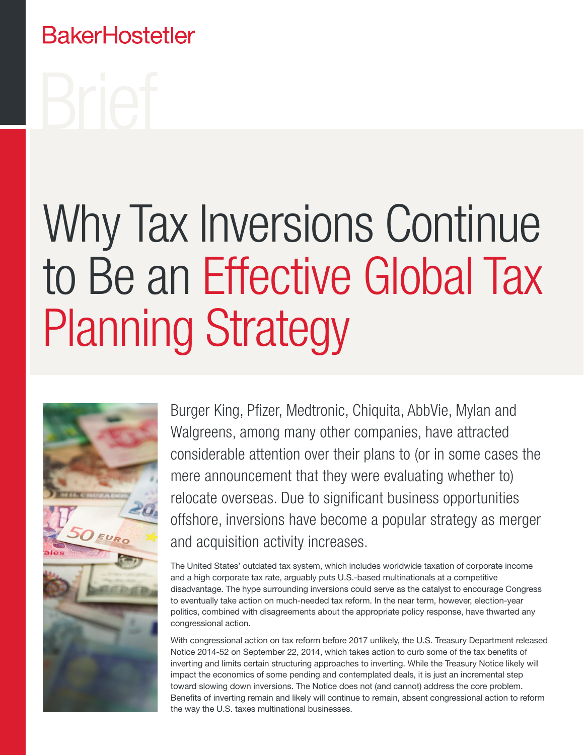### **BakerHostetler**

# Why Tax Inversions Continue to Be an Effective Global Tax Planning Strategy



Burger King, Pfizer, Medtronic, Chiquita, AbbVie, Mylan and Walgreens, among many other companies, have attracted considerable attention over their plans to (or in some cases the mere announcement that they were evaluating whether to) relocate overseas. Due to significant business opportunities offshore, inversions have become a popular strategy as merger and acquisition activity increases.

The United States' outdated tax system, which includes worldwide taxation of corporate income and a high corporate tax rate, arguably puts U.S.-based multinationals at a competitive disadvantage. The hype surrounding inversions could serve as the catalyst to encourage Congress to eventually take action on much-needed tax reform. In the near term, however, election-year politics, combined with disagreements about the appropriate policy response, have thwarted any congressional action.

With congressional action on tax reform before 2017 unlikely, the U.S. Treasury Department released Notice 2014-52 on September 22, 2014, which takes action to curb some of the tax benefits of inverting and limits certain structuring approaches to inverting. While the Treasury Notice likely will impact the economics of some pending and contemplated deals, it is just an incremental step toward slowing down inversions. The Notice does not (and cannot) address the core problem. Benefits of inverting remain and likely will continue to remain, absent congressional action to reform the way the U.S. taxes multinational businesses.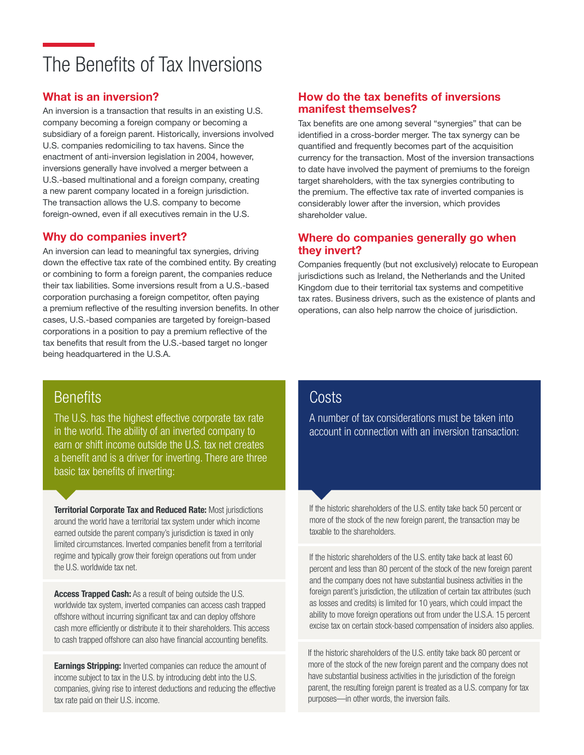### The Benefits of Tax Inversions

### What is an inversion?

An inversion is a transaction that results in an existing U.S. company becoming a foreign company or becoming a subsidiary of a foreign parent. Historically, inversions involved U.S. companies redomiciling to tax havens. Since the enactment of anti-inversion legislation in 2004, however, inversions generally have involved a merger between a U.S.-based multinational and a foreign company, creating a new parent company located in a foreign jurisdiction. The transaction allows the U.S. company to become foreign-owned, even if all executives remain in the U.S.

### Why do companies invert?

An inversion can lead to meaningful tax synergies, driving down the effective tax rate of the combined entity. By creating or combining to form a foreign parent, the companies reduce their tax liabilities. Some inversions result from a U.S.-based corporation purchasing a foreign competitor, often paying a premium reflective of the resulting inversion benefits. In other cases, U.S.-based companies are targeted by foreign-based corporations in a position to pay a premium reflective of the tax benefits that result from the U.S.-based target no longer being headquartered in the U.S.A.

### How do the tax benefits of inversions manifest themselves?

Tax benefits are one among several "synergies" that can be identified in a cross-border merger. The tax synergy can be quantified and frequently becomes part of the acquisition currency for the transaction. Most of the inversion transactions to date have involved the payment of premiums to the foreign target shareholders, with the tax synergies contributing to the premium. The effective tax rate of inverted companies is considerably lower after the inversion, which provides shareholder value.

### Where do companies generally go when they invert?

Companies frequently (but not exclusively) relocate to European jurisdictions such as Ireland, the Netherlands and the United Kingdom due to their territorial tax systems and competitive tax rates. Business drivers, such as the existence of plants and operations, can also help narrow the choice of jurisdiction.

### **Benefits**

The U.S. has the highest effective corporate tax rate in the world. The ability of an inverted company to earn or shift income outside the U.S. tax net creates a benefit and is a driver for inverting. There are three basic tax benefits of inverting:

**Territorial Corporate Tax and Reduced Rate: Most jurisdictions** around the world have a territorial tax system under which income earned outside the parent company's jurisdiction is taxed in only limited circumstances. Inverted companies benefit from a territorial regime and typically grow their foreign operations out from under the U.S. worldwide tax net.

Access Trapped Cash: As a result of being outside the U.S. worldwide tax system, inverted companies can access cash trapped offshore without incurring significant tax and can deploy offshore cash more efficiently or distribute it to their shareholders. This access to cash trapped offshore can also have financial accounting benefits.

**Earnings Stripping:** Inverted companies can reduce the amount of income subject to tax in the U.S. by introducing debt into the U.S. companies, giving rise to interest deductions and reducing the effective tax rate paid on their U.S. income.

### **Costs**

A number of tax considerations must be taken into account in connection with an inversion transaction:

If the historic shareholders of the U.S. entity take back 50 percent or more of the stock of the new foreign parent, the transaction may be taxable to the shareholders.

If the historic shareholders of the U.S. entity take back at least 60 percent and less than 80 percent of the stock of the new foreign parent and the company does not have substantial business activities in the foreign parent's jurisdiction, the utilization of certain tax attributes (such as losses and credits) is limited for 10 years, which could impact the ability to move foreign operations out from under the U.S.A. 15 percent excise tax on certain stock-based compensation of insiders also applies.

If the historic shareholders of the U.S. entity take back 80 percent or more of the stock of the new foreign parent and the company does not have substantial business activities in the jurisdiction of the foreign parent, the resulting foreign parent is treated as a U.S. company for tax purposes—in other words, the inversion fails.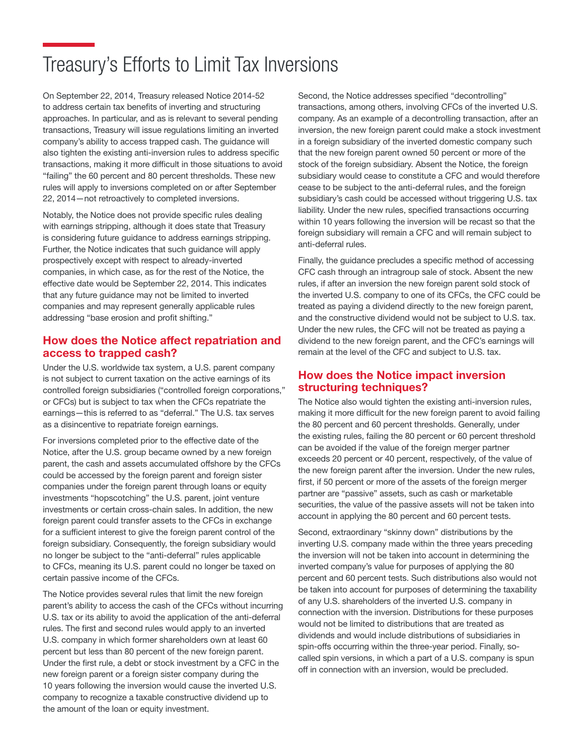### Treasury's Efforts to Limit Tax Inversions

On September 22, 2014, Treasury released Notice 2014-52 to address certain tax benefits of inverting and structuring approaches. In particular, and as is relevant to several pending transactions, Treasury will issue regulations limiting an inverted company's ability to access trapped cash. The guidance will also tighten the existing anti-inversion rules to address specific transactions, making it more difficult in those situations to avoid "failing" the 60 percent and 80 percent thresholds. These new rules will apply to inversions completed on or after September 22, 2014—not retroactively to completed inversions.

Notably, the Notice does not provide specific rules dealing with earnings stripping, although it does state that Treasury is considering future guidance to address earnings stripping. Further, the Notice indicates that such guidance will apply prospectively except with respect to already-inverted companies, in which case, as for the rest of the Notice, the effective date would be September 22, 2014. This indicates that any future guidance may not be limited to inverted companies and may represent generally applicable rules addressing "base erosion and profit shifting."

### How does the Notice affect repatriation and access to trapped cash?

Under the U.S. worldwide tax system, a U.S. parent company is not subject to current taxation on the active earnings of its controlled foreign subsidiaries ("controlled foreign corporations," or CFCs) but is subject to tax when the CFCs repatriate the earnings—this is referred to as "deferral." The U.S. tax serves as a disincentive to repatriate foreign earnings.

For inversions completed prior to the effective date of the Notice, after the U.S. group became owned by a new foreign parent, the cash and assets accumulated offshore by the CFCs could be accessed by the foreign parent and foreign sister companies under the foreign parent through loans or equity investments "hopscotching" the U.S. parent, joint venture investments or certain cross-chain sales. In addition, the new foreign parent could transfer assets to the CFCs in exchange for a sufficient interest to give the foreign parent control of the foreign subsidiary. Consequently, the foreign subsidiary would no longer be subject to the "anti-deferral" rules applicable to CFCs, meaning its U.S. parent could no longer be taxed on certain passive income of the CFCs.

The Notice provides several rules that limit the new foreign parent's ability to access the cash of the CFCs without incurring U.S. tax or its ability to avoid the application of the anti-deferral rules. The first and second rules would apply to an inverted U.S. company in which former shareholders own at least 60 percent but less than 80 percent of the new foreign parent. Under the first rule, a debt or stock investment by a CFC in the new foreign parent or a foreign sister company during the 10 years following the inversion would cause the inverted U.S. company to recognize a taxable constructive dividend up to the amount of the loan or equity investment.

Second, the Notice addresses specified "decontrolling" transactions, among others, involving CFCs of the inverted U.S. company. As an example of a decontrolling transaction, after an inversion, the new foreign parent could make a stock investment in a foreign subsidiary of the inverted domestic company such that the new foreign parent owned 50 percent or more of the stock of the foreign subsidiary. Absent the Notice, the foreign subsidiary would cease to constitute a CFC and would therefore cease to be subject to the anti-deferral rules, and the foreign subsidiary's cash could be accessed without triggering U.S. tax liability. Under the new rules, specified transactions occurring within 10 years following the inversion will be recast so that the foreign subsidiary will remain a CFC and will remain subject to anti-deferral rules.

Finally, the guidance precludes a specific method of accessing CFC cash through an intragroup sale of stock. Absent the new rules, if after an inversion the new foreign parent sold stock of the inverted U.S. company to one of its CFCs, the CFC could be treated as paying a dividend directly to the new foreign parent, and the constructive dividend would not be subject to U.S. tax. Under the new rules, the CFC will not be treated as paying a dividend to the new foreign parent, and the CFC's earnings will remain at the level of the CFC and subject to U.S. tax.

### How does the Notice impact inversion structuring techniques?

The Notice also would tighten the existing anti-inversion rules, making it more difficult for the new foreign parent to avoid failing the 80 percent and 60 percent thresholds. Generally, under the existing rules, failing the 80 percent or 60 percent threshold can be avoided if the value of the foreign merger partner exceeds 20 percent or 40 percent, respectively, of the value of the new foreign parent after the inversion. Under the new rules, first, if 50 percent or more of the assets of the foreign merger partner are "passive" assets, such as cash or marketable securities, the value of the passive assets will not be taken into account in applying the 80 percent and 60 percent tests.

Second, extraordinary "skinny down" distributions by the inverting U.S. company made within the three years preceding the inversion will not be taken into account in determining the inverted company's value for purposes of applying the 80 percent and 60 percent tests. Such distributions also would not be taken into account for purposes of determining the taxability of any U.S. shareholders of the inverted U.S. company in connection with the inversion. Distributions for these purposes would not be limited to distributions that are treated as dividends and would include distributions of subsidiaries in spin-offs occurring within the three-year period. Finally, socalled spin versions, in which a part of a U.S. company is spun off in connection with an inversion, would be precluded.